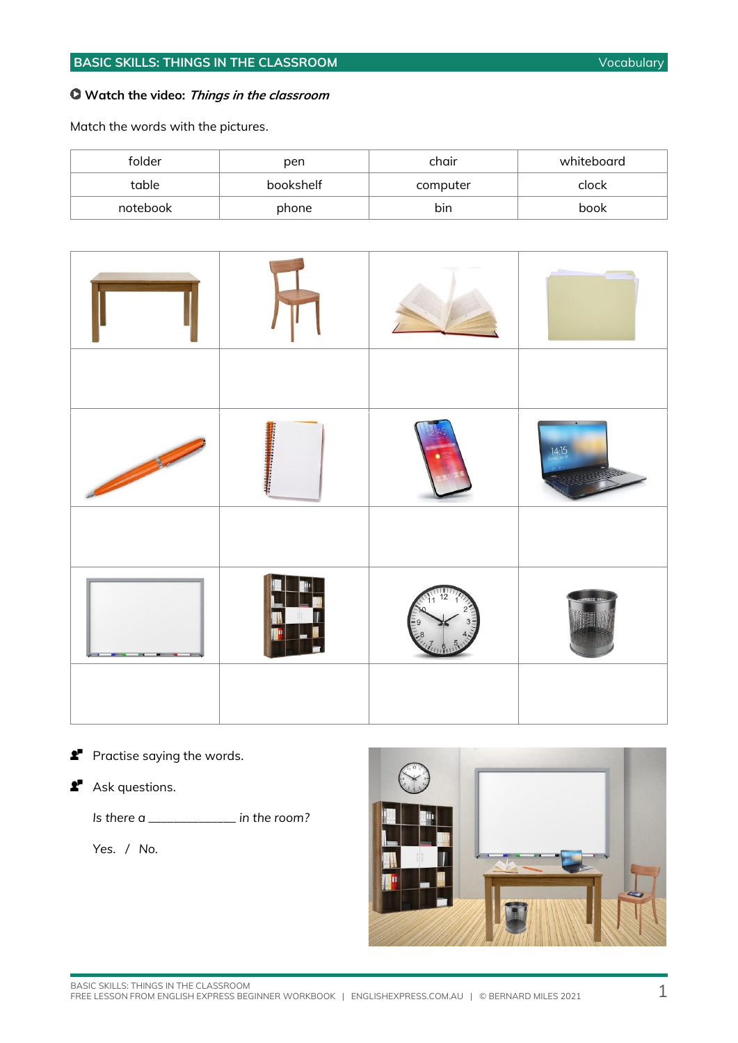#### **Watch the video: Things in the classroom**

Match the words with the pictures.

| folder   | pen       | chair    | whiteboard |
|----------|-----------|----------|------------|
| table    | bookshelf | computer | clock      |
| notebook | phone     | bin      | book       |

|  | 14:15 |
|--|-------|
|  |       |
|  |       |
|  |       |

**Practise saying the words.** 

**2** Ask questions.

*Is there a \_\_\_\_\_\_\_\_\_\_\_\_\_\_ in the room?*

 *Yes. / No.*

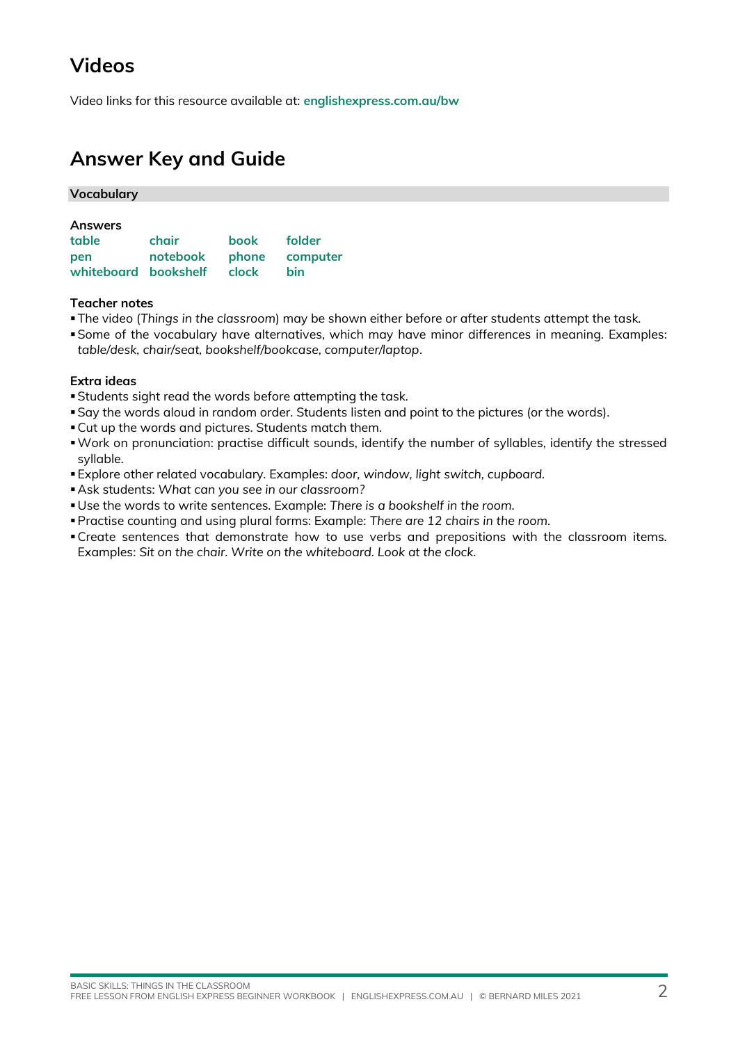# **Videos**

Video links for this resource available at: **[englishexpress.com.au/bw](https://www.englishexpress.com.au/bw)**

## **Answer Key and Guide**

| <b>Vocabulary</b>          |                         |      |        |
|----------------------------|-------------------------|------|--------|
|                            |                         |      |        |
| <b>Answers</b>             |                         |      |        |
| table                      | chair                   | book | folder |
| <b>pen</b>                 | notebook phone computer |      |        |
| whiteboard bookshelf clock |                         |      | bin    |

#### **Teacher notes**

- ▪The video (*Things in the classroom*) may be shown either before or after students attempt the task.
- ▪Some of the vocabulary have alternatives, which may have minor differences in meaning. Examples: *table/desk, chair/seat, bookshelf/bookcase, computer/laptop*.

#### **Extra ideas**

- ▪Students sight read the words before attempting the task.
- ▪Say the words aloud in random order. Students listen and point to the pictures (or the words).
- ▪Cut up the words and pictures. Students match them.
- ▪Work on pronunciation: practise difficult sounds, identify the number of syllables, identify the stressed syllable.
- ▪Explore other related vocabulary. Examples: *door, window, light switch, cupboard.*
- ▪Ask students: *What can you see in our classroom?*
- ▪Use the words to write sentences. Example: *There is a bookshelf in the room.*
- ▪Practise counting and using plural forms: Example: *There are 12 chairs in the room.*
- ▪Create sentences that demonstrate how to use verbs and prepositions with the classroom items. Examples: *Sit on the chair. Write on the whiteboard. Look at the clock.*